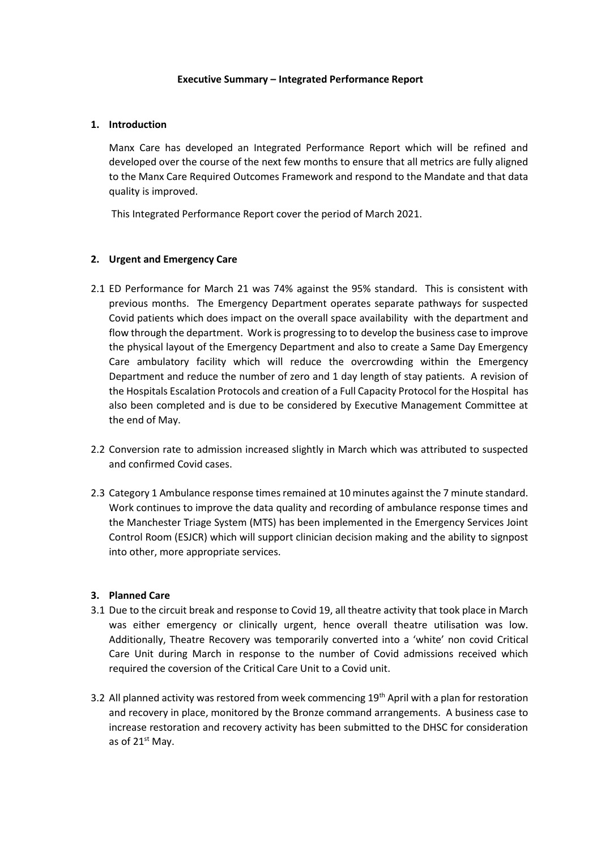#### **Executive Summary – Integrated Performance Report**

#### **1. Introduction**

Manx Care has developed an Integrated Performance Report which will be refined and developed over the course of the next few months to ensure that all metrics are fully aligned to the Manx Care Required Outcomes Framework and respond to the Mandate and that data quality is improved.

This Integrated Performance Report cover the period of March 2021.

### **2. Urgent and Emergency Care**

- 2.1 ED Performance for March 21 was 74% against the 95% standard. This is consistent with previous months. The Emergency Department operates separate pathways for suspected Covid patients which does impact on the overall space availability with the department and flow through the department. Work is progressing to to develop the business case to improve the physical layout of the Emergency Department and also to create a Same Day Emergency Care ambulatory facility which will reduce the overcrowding within the Emergency Department and reduce the number of zero and 1 day length of stay patients. A revision of the Hospitals Escalation Protocols and creation of a Full Capacity Protocol for the Hospital has also been completed and is due to be considered by Executive Management Committee at the end of May.
- 2.2 Conversion rate to admission increased slightly in March which was attributed to suspected and confirmed Covid cases.
- 2.3 Category 1 Ambulance response times remained at 10 minutes against the 7 minute standard. Work continues to improve the data quality and recording of ambulance response times and the Manchester Triage System (MTS) has been implemented in the Emergency Services Joint Control Room (ESJCR) which will support clinician decision making and the ability to signpost into other, more appropriate services.

#### **3. Planned Care**

- 3.1 Due to the circuit break and response to Covid 19, all theatre activity that took place in March was either emergency or clinically urgent, hence overall theatre utilisation was low. Additionally, Theatre Recovery was temporarily converted into a 'white' non covid Critical Care Unit during March in response to the number of Covid admissions received which required the coversion of the Critical Care Unit to a Covid unit.
- 3.2 All planned activity was restored from week commencing 19<sup>th</sup> April with a plan for restoration and recovery in place, monitored by the Bronze command arrangements. A business case to increase restoration and recovery activity has been submitted to the DHSC for consideration as of  $21<sup>st</sup>$  May.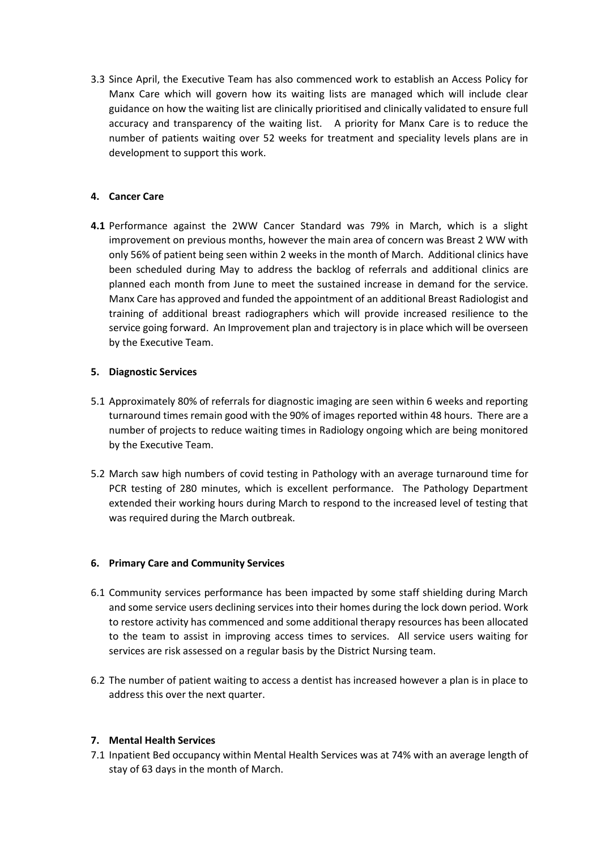3.3 Since April, the Executive Team has also commenced work to establish an Access Policy for Manx Care which will govern how its waiting lists are managed which will include clear guidance on how the waiting list are clinically prioritised and clinically validated to ensure full accuracy and transparency of the waiting list. A priority for Manx Care is to reduce the number of patients waiting over 52 weeks for treatment and speciality levels plans are in development to support this work.

### **4. Cancer Care**

**4.1** Performance against the 2WW Cancer Standard was 79% in March, which is a slight improvement on previous months, however the main area of concern was Breast 2 WW with only 56% of patient being seen within 2 weeks in the month of March. Additional clinics have been scheduled during May to address the backlog of referrals and additional clinics are planned each month from June to meet the sustained increase in demand for the service. Manx Care has approved and funded the appointment of an additional Breast Radiologist and training of additional breast radiographers which will provide increased resilience to the service going forward. An Improvement plan and trajectory is in place which will be overseen by the Executive Team.

### **5. Diagnostic Services**

- 5.1 Approximately 80% of referrals for diagnostic imaging are seen within 6 weeks and reporting turnaround times remain good with the 90% of images reported within 48 hours. There are a number of projects to reduce waiting times in Radiology ongoing which are being monitored by the Executive Team.
- 5.2 March saw high numbers of covid testing in Pathology with an average turnaround time for PCR testing of 280 minutes, which is excellent performance. The Pathology Department extended their working hours during March to respond to the increased level of testing that was required during the March outbreak.

#### **6. Primary Care and Community Services**

- 6.1 Community services performance has been impacted by some staff shielding during March and some service users declining services into their homes during the lock down period. Work to restore activity has commenced and some additional therapy resources has been allocated to the team to assist in improving access times to services. All service users waiting for services are risk assessed on a regular basis by the District Nursing team.
- 6.2 The number of patient waiting to access a dentist has increased however a plan is in place to address this over the next quarter.

# **7. Mental Health Services**

7.1 Inpatient Bed occupancy within Mental Health Services was at 74% with an average length of stay of 63 days in the month of March.